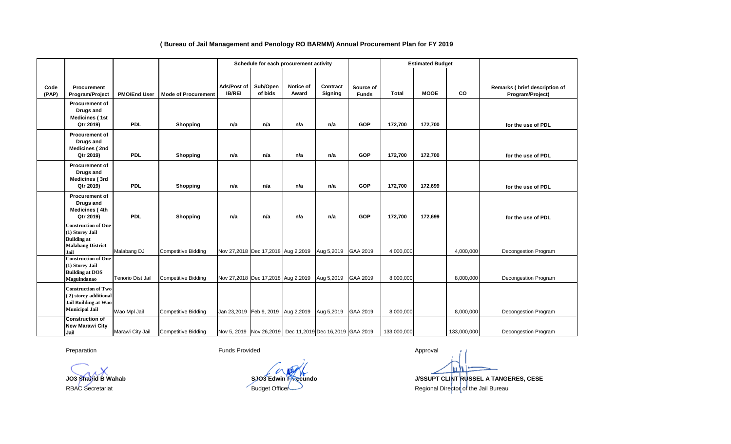## **Ads/Post of IB/REI Sub/Open of bids Notice of Award Contract Signing Total MOOE CO Procurement of Drugs and Medicines ( 1st Qtr 2019) PDL Shopping n/a n/a n/a n/a GOP 172,700 172,700 Procurement of Drugs and Medicines ( 2nd Qtr 2019) PDL Shopping n/a n/a n/a n/a GOP 172,700 172,700 Procurement of Drugs and Medicines ( 3rd Qtr 2019) PDL Shopping n/a n/a n/a n/a GOP 172,700 172,699 Procurement of Drugs and Medicines ( 4th Qtr 2019) PDL Shopping n/a n/a n/a n/a GOP 172,700 172,699 Construction of One (1) Storey Jail Building at Malabang District Jail** Malabang DJ Competitive Bidding Nov 27,2018 Dec 17,2018 Aug 2,2019 Aug 5,2019 GAA 2019 4,000,000 4,000,000 **Construction of One (1) Storey Jail Building at DOS Maguindanao** Tenorio Dist Jail Competitive Bidding Nov 27,2018 Dec 17,2018 Aug 2,2019 Aug 5,2019 GAA 2019 8,000,000 8,000,000 8,000,000 **Construction of Two ( 2) storey additional Jail Building at Wao Municipal Jail |**Wao Mpl Jail | Competitive Bidding | Jan 23,2019 Feb 9, 2019 | Aug 2,2019 | GAA 2019 | 8,000,000 | 8,000,000 | 8,000,000 **Construction of New Marawi City Jail** Marawi City Jail Competitive Bidding Nov 5, 2019 Nov 26,2019 Dec 11,2019 Dec 16,2019 GAA 2019 133,000,000 133,000,000 133,000,000 Decongestion Program Decongestion Program Decongestion Program Decongestion Program **for the use of PDL for the use of PDL for the use of PDL for the use of PDL Estimated Budget Remarks ( brief description of Program/Project) Code (PAP) Procurement Program/Project Source of Funds Schedule for each procurement activity PMO/End User Mode of Procurement**

## **( Bureau of Jail Management and Penology RO BARMM) Annual Procurement Plan for FY 2019**

Preparation **Funds Provided Funds Provided Approval** Approval

hп **JO3 Shahid B Wahab SJO3 Edwin F Fecundo J/SSUPT CLINT RUSSEL A TANGERES, CESE**

RBAC Secretariat **Budget Officer** Budget Officer **Regional Director of the Jail Bureau**